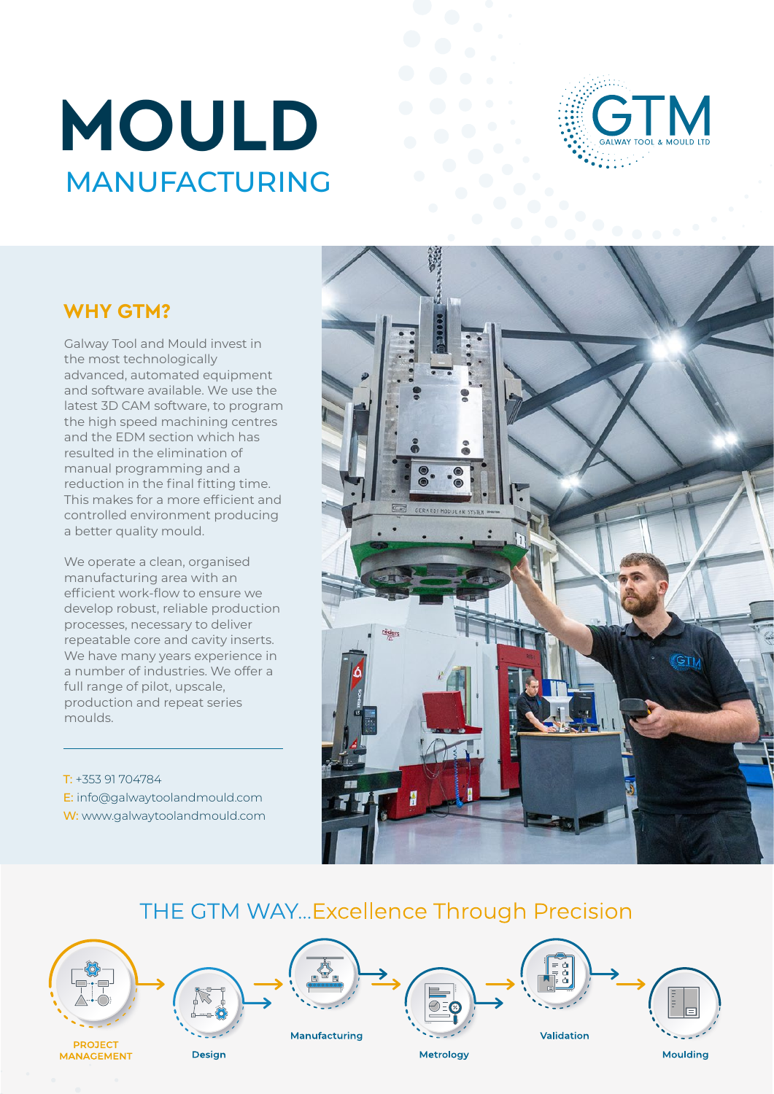# **MOULD**  MANUFACTURING



#### **WHY GTM?**

Galway Tool and Mould invest in the most technologically advanced, automated equipment and software available. We use the latest 3D CAM software, to program the high speed machining centres and the EDM section which has resulted in the elimination of manual programming and a reduction in the final fitting time. This makes for a more efficient and controlled environment producing a better quality mould.

We operate a clean, organised manufacturing area with an efficient work-flow to ensure we develop robust, reliable production processes, necessary to deliver repeatable core and cavity inserts. We have many years experience in a number of industries. We offer a full range of pilot, upscale, production and repeat series moulds.

T: +353 91 704784 E: info@galwaytoolandmould.com W: www.galwaytoolandmould.com



#### THE GTM WAY...Excellence Through Precision